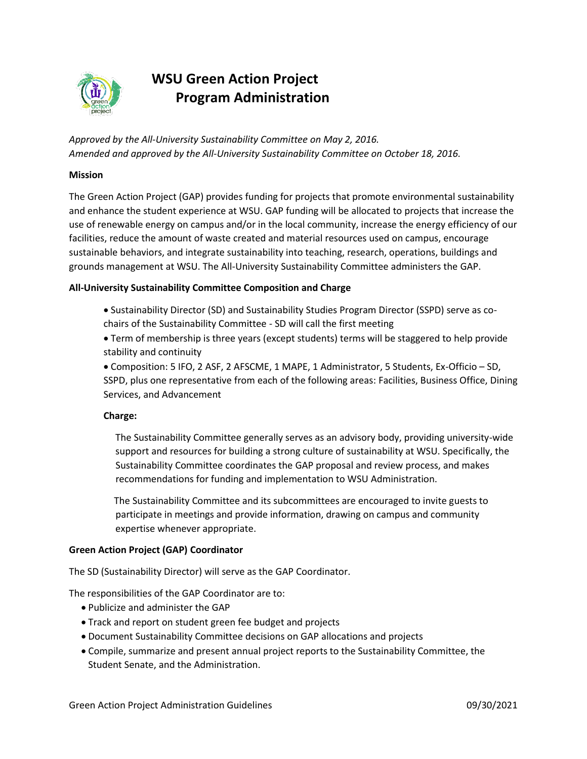

# **WSU Green Action Project Program Administration**

*Approved by the All-University Sustainability Committee on May 2, 2016. Amended and approved by the All-University Sustainability Committee on October 18, 2016.* 

#### **Mission**

The Green Action Project (GAP) provides funding for projects that promote environmental sustainability and enhance the student experience at WSU. GAP funding will be allocated to projects that increase the use of renewable energy on campus and/or in the local community, increase the energy efficiency of our facilities, reduce the amount of waste created and material resources used on campus, encourage sustainable behaviors, and integrate sustainability into teaching, research, operations, buildings and grounds management at WSU. The All-University Sustainability Committee administers the GAP.

# **All-University Sustainability Committee Composition and Charge**

- Sustainability Director (SD) and Sustainability Studies Program Director (SSPD) serve as cochairs of the Sustainability Committee - SD will call the first meeting
- Term of membership is three years (except students) terms will be staggered to help provide stability and continuity

• Composition: 5 IFO, 2 ASF, 2 AFSCME, 1 MAPE, 1 Administrator, 5 Students, Ex-Officio – SD, SSPD, plus one representative from each of the following areas: Facilities, Business Office, Dining Services, and Advancement

# **Charge:**

 The Sustainability Committee generally serves as an advisory body, providing university-wide support and resources for building a strong culture of sustainability at WSU. Specifically, the Sustainability Committee coordinates the GAP proposal and review process, and makes recommendations for funding and implementation to WSU Administration.

The Sustainability Committee and its subcommittees are encouraged to invite guests to participate in meetings and provide information, drawing on campus and community expertise whenever appropriate.

#### **Green Action Project (GAP) Coordinator**

The SD (Sustainability Director) will serve as the GAP Coordinator.

The responsibilities of the GAP Coordinator are to:

- Publicize and administer the GAP
- Track and report on student green fee budget and projects
- Document Sustainability Committee decisions on GAP allocations and projects
- Compile, summarize and present annual project reports to the Sustainability Committee, the Student Senate, and the Administration.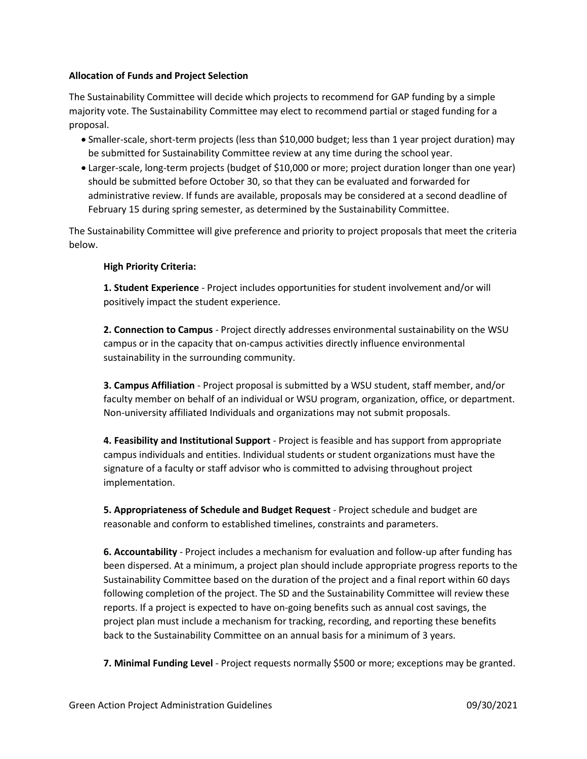#### **Allocation of Funds and Project Selection**

The Sustainability Committee will decide which projects to recommend for GAP funding by a simple majority vote. The Sustainability Committee may elect to recommend partial or staged funding for a proposal.

- Smaller-scale, short-term projects (less than \$10,000 budget; less than 1 year project duration) may be submitted for Sustainability Committee review at any time during the school year.
- Larger-scale, long-term projects (budget of \$10,000 or more; project duration longer than one year) should be submitted before October 30, so that they can be evaluated and forwarded for administrative review. If funds are available, proposals may be considered at a second deadline of February 15 during spring semester, as determined by the Sustainability Committee.

The Sustainability Committee will give preference and priority to project proposals that meet the criteria below.

# **High Priority Criteria:**

**1. Student Experience** - Project includes opportunities for student involvement and/or will positively impact the student experience.

**2. Connection to Campus** - Project directly addresses environmental sustainability on the WSU campus or in the capacity that on-campus activities directly influence environmental sustainability in the surrounding community.

**3. Campus Affiliation** - Project proposal is submitted by a WSU student, staff member, and/or faculty member on behalf of an individual or WSU program, organization, office, or department. Non-university affiliated Individuals and organizations may not submit proposals.

**4. Feasibility and Institutional Support** - Project is feasible and has support from appropriate campus individuals and entities. Individual students or student organizations must have the signature of a faculty or staff advisor who is committed to advising throughout project implementation.

**5. Appropriateness of Schedule and Budget Request** - Project schedule and budget are reasonable and conform to established timelines, constraints and parameters.

**6. Accountability** - Project includes a mechanism for evaluation and follow-up after funding has been dispersed. At a minimum, a project plan should include appropriate progress reports to the Sustainability Committee based on the duration of the project and a final report within 60 days following completion of the project. The SD and the Sustainability Committee will review these reports. If a project is expected to have on-going benefits such as annual cost savings, the project plan must include a mechanism for tracking, recording, and reporting these benefits back to the Sustainability Committee on an annual basis for a minimum of 3 years.

**7. Minimal Funding Level** - Project requests normally \$500 or more; exceptions may be granted.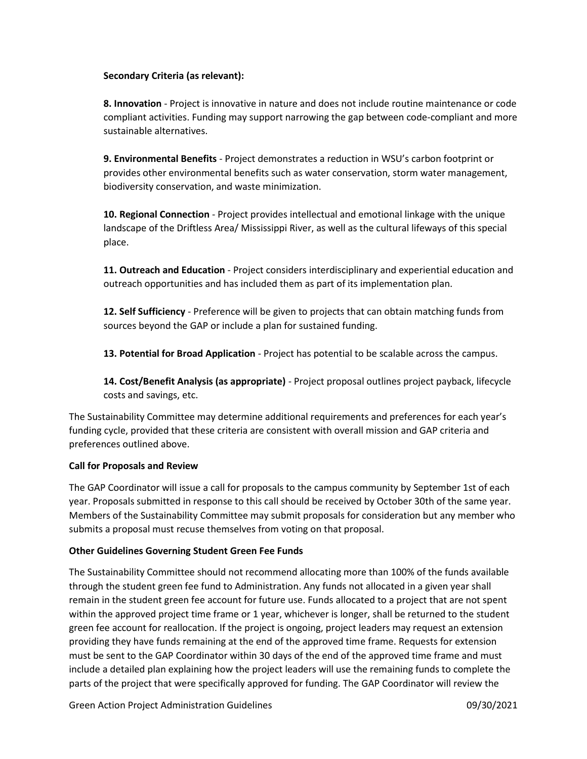# **Secondary Criteria (as relevant):**

**8. Innovation** - Project is innovative in nature and does not include routine maintenance or code compliant activities. Funding may support narrowing the gap between code-compliant and more sustainable alternatives.

**9. Environmental Benefits** - Project demonstrates a reduction in WSU's carbon footprint or provides other environmental benefits such as water conservation, storm water management, biodiversity conservation, and waste minimization.

**10. Regional Connection** - Project provides intellectual and emotional linkage with the unique landscape of the Driftless Area/ Mississippi River, as well as the cultural lifeways of this special place.

**11. Outreach and Education** - Project considers interdisciplinary and experiential education and outreach opportunities and has included them as part of its implementation plan.

**12. Self Sufficiency** - Preference will be given to projects that can obtain matching funds from sources beyond the GAP or include a plan for sustained funding.

**13. Potential for Broad Application** - Project has potential to be scalable across the campus.

**14. Cost/Benefit Analysis (as appropriate)** - Project proposal outlines project payback, lifecycle costs and savings, etc.

The Sustainability Committee may determine additional requirements and preferences for each year's funding cycle, provided that these criteria are consistent with overall mission and GAP criteria and preferences outlined above.

# **Call for Proposals and Review**

The GAP Coordinator will issue a call for proposals to the campus community by September 1st of each year. Proposals submitted in response to this call should be received by October 30th of the same year. Members of the Sustainability Committee may submit proposals for consideration but any member who submits a proposal must recuse themselves from voting on that proposal.

# **Other Guidelines Governing Student Green Fee Funds**

The Sustainability Committee should not recommend allocating more than 100% of the funds available through the student green fee fund to Administration. Any funds not allocated in a given year shall remain in the student green fee account for future use. Funds allocated to a project that are not spent within the approved project time frame or 1 year, whichever is longer, shall be returned to the student green fee account for reallocation. If the project is ongoing, project leaders may request an extension providing they have funds remaining at the end of the approved time frame. Requests for extension must be sent to the GAP Coordinator within 30 days of the end of the approved time frame and must include a detailed plan explaining how the project leaders will use the remaining funds to complete the parts of the project that were specifically approved for funding. The GAP Coordinator will review the